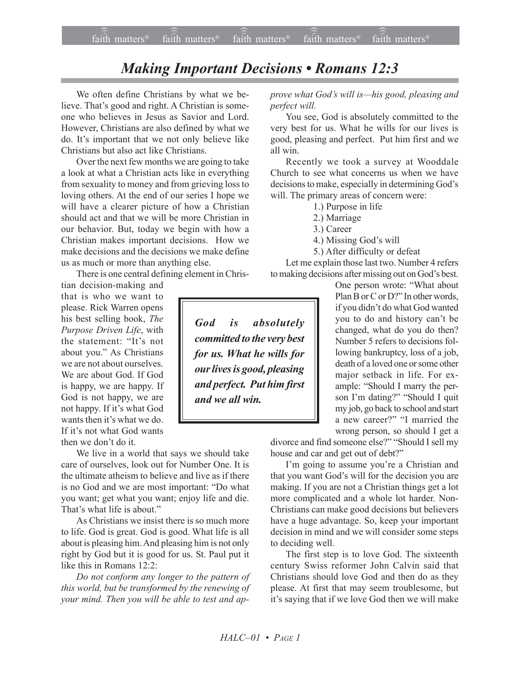## *Making Important Decisions • Romans 12:3*

We often define Christians by what we believe. That's good and right. A Christian is someone who believes in Jesus as Savior and Lord. However, Christians are also defined by what we do. It's important that we not only believe like Christians but also act like Christians.

Over the next few months we are going to take a look at what a Christian acts like in everything from sexuality to money and from grieving loss to loving others. At the end of our series I hope we will have a clearer picture of how a Christian should act and that we will be more Christian in our behavior. But, today we begin with how a Christian makes important decisions. How we make decisions and the decisions we make define us as much or more than anything else.

There is one central defining element in Chris-

tian decision-making and that is who we want to please. Rick Warren opens his best selling book, *The Purpose Driven Life*, with the statement: "It's not about you." As Christians we are not about ourselves. We are about God. If God is happy, we are happy. If God is not happy, we are not happy. If it's what God wants then it's what we do. If it's not what God wants then we don't do it.

We live in a world that says we should take care of ourselves, look out for Number One. It is the ultimate atheism to believe and live as if there is no God and we are most important: "Do what you want; get what you want; enjoy life and die. That's what life is about."

As Christians we insist there is so much more to life. God is great. God is good. What life is all about is pleasing him. And pleasing him is not only right by God but it is good for us. St. Paul put it like this in Romans 12:2:

*Do not conform any longer to the pattern of this world, but be transformed by the renewing of your mind. Then you will be able to test and ap-* prove what God's will is-his good, pleasing and *perfect will.*

You see, God is absolutely committed to the very best for us. What he wills for our lives is good, pleasing and perfect. Put him first and we all win.

Recently we took a survey at Wooddale Church to see what concerns us when we have decisions to make, especially in determining God's will. The primary areas of concern were:

- 1.) Purpose in life
- 2.) Marriage
- 3.) Career
- 4.) Missing God's will
- 5.) After difficulty or defeat

Let me explain those last two. Number 4 refers to making decisions after missing out on God's best.

> One person wrote: "What about Plan B or C or D?" In other words, if you didn't do what God wanted you to do and history can't be changed, what do you do then? Number 5 refers to decisions following bankruptcy, loss of a job, death of a loved one or some other major setback in life. For example: "Should I marry the person I'm dating?" "Should I quit my job, go back to school and start a new career?" "I married the wrong person, so should I get a

divorce and find someone else?" "Should I sell my house and car and get out of debt?"

I'm going to assume you're a Christian and that you want God's will for the decision you are making. If you are not a Christian things get a lot more complicated and a whole lot harder. Non-Christians can make good decisions but believers have a huge advantage. So, keep your important decision in mind and we will consider some steps to deciding well.

The first step is to love God. The sixteenth century Swiss reformer John Calvin said that Christians should love God and then do as they please. At first that may seem troublesome, but it's saying that if we love God then we will make

*God is absolutely committed to the very best for us. What he wills for our lives is good, pleasing and perfect. Put him first and we all win.*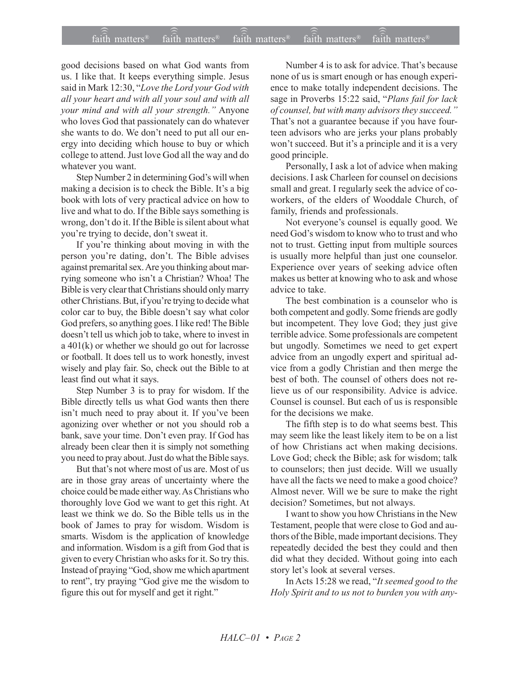## $\widehat{\widehat{\mathfrak{tair}}}$  matters  $\widehat{\widehat{\mathfrak{tair}}}$  matters  $\widehat{\widehat{\mathfrak{tair}}}$  matters  $\widehat{\widehat{\mathfrak{tair}}}$  matters  $\widehat{\widehat{\mathfrak{se}}}$  faith matters faith matters<sup>®</sup> faith matters<sup>®</sup> faith matters<sup>®</sup>

good decisions based on what God wants from us. I like that. It keeps everything simple. Jesus said in Mark 12:30, "Love the Lord your God with *all your heart and with all your soul and with all your mind and with all your strength.î* Anyone who loves God that passionately can do whatever she wants to do. We don't need to put all our energy into deciding which house to buy or which college to attend. Just love God all the way and do whatever you want.

Step Number 2 in determining God's will when making a decision is to check the Bible. It's a big book with lots of very practical advice on how to live and what to do. If the Bible says something is wrong, don't do it. If the Bible is silent about what you're trying to decide, don't sweat it.

If you're thinking about moving in with the person you're dating, don't. The Bible advises against premarital sex. Are you thinking about marrying someone who isn't a Christian? Whoa! The Bible is very clear that Christians should only marry other Christians. But, if you're trying to decide what color car to buy, the Bible doesn't say what color God prefers, so anything goes. I like red! The Bible doesn't tell us which job to take, where to invest in a 401(k) or whether we should go out for lacrosse or football. It does tell us to work honestly, invest wisely and play fair. So, check out the Bible to at least find out what it says.

Step Number 3 is to pray for wisdom. If the Bible directly tells us what God wants then there isn't much need to pray about it. If you've been agonizing over whether or not you should rob a bank, save your time. Don't even pray. If God has already been clear then it is simply not something you need to pray about. Just do what the Bible says.

But that's not where most of us are. Most of us are in those gray areas of uncertainty where the choice could be made either way. As Christians who thoroughly love God we want to get this right. At least we think we do. So the Bible tells us in the book of James to pray for wisdom. Wisdom is smarts. Wisdom is the application of knowledge and information. Wisdom is a gift from God that is given to every Christian who asks for it. So try this. Instead of praying "God, show me which apartment to rent", try praying "God give me the wisdom to figure this out for myself and get it right."

Number 4 is to ask for advice. That's because none of us is smart enough or has enough experience to make totally independent decisions. The sage in Proverbs 15:22 said, "Plans fail for lack *of counsel, but with many advisors they succeed.î* That's not a guarantee because if you have fourteen advisors who are jerks your plans probably won't succeed. But it's a principle and it is a very good principle.

Personally, I ask a lot of advice when making decisions. I ask Charleen for counsel on decisions small and great. I regularly seek the advice of coworkers, of the elders of Wooddale Church, of family, friends and professionals.

Not everyone's counsel is equally good. We need God's wisdom to know who to trust and who not to trust. Getting input from multiple sources is usually more helpful than just one counselor. Experience over years of seeking advice often makes us better at knowing who to ask and whose advice to take.

The best combination is a counselor who is both competent and godly. Some friends are godly but incompetent. They love God; they just give terrible advice. Some professionals are competent but ungodly. Sometimes we need to get expert advice from an ungodly expert and spiritual advice from a godly Christian and then merge the best of both. The counsel of others does not relieve us of our responsibility. Advice is advice. Counsel is counsel. But each of us is responsible for the decisions we make.

The fifth step is to do what seems best. This may seem like the least likely item to be on a list of how Christians act when making decisions. Love God; check the Bible; ask for wisdom; talk to counselors; then just decide. Will we usually have all the facts we need to make a good choice? Almost never. Will we be sure to make the right decision? Sometimes, but not always.

I want to show you how Christians in the New Testament, people that were close to God and authors of the Bible, made important decisions. They repeatedly decided the best they could and then did what they decided. Without going into each story let's look at several verses.

In Acts 15:28 we read, "It seemed good to the *Holy Spirit and to us not to burden you with any-*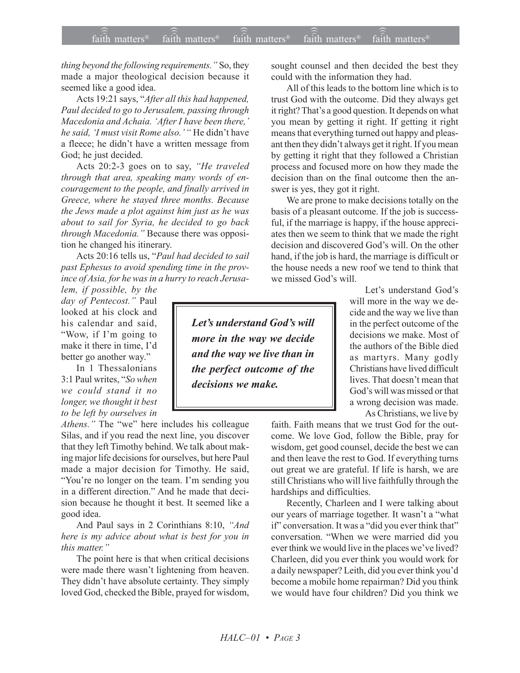## $\widehat{\widehat{\mathfrak{tair}}}$  matters  $\widehat{\widehat{\mathfrak{tair}}}$  matters  $\widehat{\widehat{\mathfrak{tair}}}$  matters  $\widehat{\widehat{\mathfrak{tair}}}$  matters  $\widehat{\widehat{\mathfrak{se}}}$  faith matters faith matters<sup>®</sup> faith matters<sup>®</sup> faith matters

*thing beyond the following requirements.*" So, they made a major theological decision because it seemed like a good idea.

Acts 19:21 says, "*After all this had happened*, *Paul decided to go to Jerusalem, passing through Macedonia and Achaia. 'After I have been there,' he said, 'I must visit Rome also.'* "He didn't have a fleece; he didn't have a written message from God; he just decided.

Acts 20:2-3 goes on to say, "He traveled *through that area, speaking many words of encouragement to the people, and finally arrived in Greece, where he stayed three months. Because the Jews made a plot against him just as he was about to sail for Syria, he decided to go back through Macedonia.*" Because there was opposition he changed his itinerary.

Acts 20:16 tells us, "Paul had decided to sail *past Ephesus to avoid spending time in the province of Asia, for he was in a hurry to reach Jerusa-*

*lem, if possible, by the* day of Pentecost.<sup>"</sup> Paul looked at his clock and his calendar and said, "Wow, if I'm going to make it there in time, I'd better go another way."

In 1 Thessalonians 3:1 Paul writes, "*So when we could stand it no longer, we thought it best to be left by ourselves in*

*Athens.*" The "we" here includes his colleague Silas, and if you read the next line, you discover that they left Timothy behind. We talk about making major life decisions for ourselves, but here Paul made a major decision for Timothy. He said, "You're no longer on the team. I'm sending you in a different direction." And he made that decision because he thought it best. It seemed like a good idea.

And Paul says in 2 Corinthians 8:10, *<sup><i>And*</sup></sup> *here is my advice about what is best for you in this matter.*"

The point here is that when critical decisions were made there wasn't lightening from heaven. They didn't have absolute certainty. They simply loved God, checked the Bible, prayed for wisdom, sought counsel and then decided the best they could with the information they had.

All of this leads to the bottom line which is to trust God with the outcome. Did they always get it right? That's a good question. It depends on what you mean by getting it right. If getting it right means that everything turned out happy and pleasant then they didn't always get it right. If you mean by getting it right that they followed a Christian process and focused more on how they made the decision than on the final outcome then the answer is yes, they got it right.

We are prone to make decisions totally on the basis of a pleasant outcome. If the job is successful, if the marriage is happy, if the house appreciates then we seem to think that we made the right decision and discovered God's will. On the other hand, if the job is hard, the marriage is difficult or the house needs a new roof we tend to think that we missed God's will.

> Let's understand God's will more in the way we decide and the way we live than in the perfect outcome of the decisions we make. Most of the authors of the Bible died as martyrs. Many godly Christians have lived difficult lives. That doesn't mean that God's will was missed or that a wrong decision was made.

As Christians, we live by

faith. Faith means that we trust God for the outcome. We love God, follow the Bible, pray for wisdom, get good counsel, decide the best we can and then leave the rest to God. If everything turns out great we are grateful. If life is harsh, we are still Christians who will live faithfully through the hardships and difficulties.

Recently, Charleen and I were talking about our years of marriage together. It wasn't a "what if" conversation. It was a "did you ever think that" conversation. "When we were married did you ever think we would live in the places we've lived? Charleen, did you ever think you would work for a daily newspaper? Leith, did you ever think you'd become a mobile home repairman? Did you think we would have four children? Did you think we

Let's understand God's will *more in the way we decide and the way we live than in the perfect outcome of the decisions we make.*